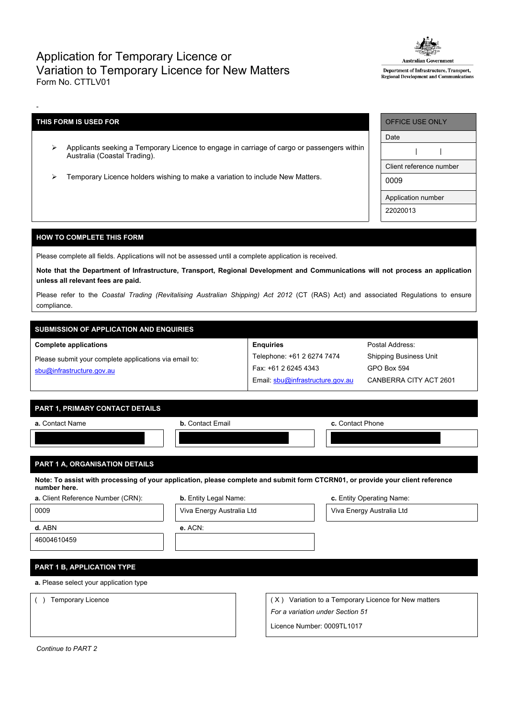## Application for Temporary Licence or Variation to Temporary Licence for New Matters Form No. CTTLV01



Department of Infrastructure, Transport, Regional Development and Communications

## **THIS FORM IS USED FOR**

-

- Applicants seeking a Temporary Licence to engage in carriage of cargo or passengers within Australia (Coastal Trading).
- Temporary Licence holders wishing to make a variation to include New Matters.

| <b>OFFICE USE ONLY</b>  |  |  |  |  |
|-------------------------|--|--|--|--|
| Date                    |  |  |  |  |
|                         |  |  |  |  |
| Client reference number |  |  |  |  |
| 0009                    |  |  |  |  |
| Application number      |  |  |  |  |
| 22020013                |  |  |  |  |

Postal Address: Shipping Business Unit

GPO Box 594

CANBERRA CITY ACT 2601

## **HOW TO COMPLETE THIS FORM**

Please complete all fields. Applications will not be assessed until a complete application is received.

Note that the Department of Infrastructure, Transport, Regional Development and Communications will not process an application **unless all relevant fees are paid.**

Please refer to the *Coastal Trading (Revitalising Australian Shipping) Act 2012* (CT (RAS) Act) and associated Regulations to ensure compliance.

**Enquiries**

Telephone: +61 2 6274 7474 Fax: +61 2 6245 4343

Email: [sbu@infrastructure.gov.au](mailto:sbu@infrastructure.gov.au)

# **SUBMISSION OF APPLICATION AND ENQUIRIES**

#### **Complete applications**

Please submit your complete applications via email to: [sbu@infrastructure.gov.au](mailto:sbu@infrastructure.gov.au)

| PART 1. PRIMARY CONTACT DETAILS |  |
|---------------------------------|--|
|                                 |  |

| a. Contact Name | <b>b.</b> Contact Email | c. Contact Phone |
|-----------------|-------------------------|------------------|
|                 |                         |                  |

## **PART 1 A, ORGANISATION DETAILS**

Note: To assist with processing of your application, please complete and submit form CTCRN01, or provide your client reference **number here.**

| a. Client Reference Number (CRN):      | <b>b.</b> Entity Legal Name: |                            | c. Entity Operating Name:                            |  |  |  |  |
|----------------------------------------|------------------------------|----------------------------|------------------------------------------------------|--|--|--|--|
| 0009                                   | Viva Energy Australia Ltd    |                            | Viva Energy Australia Ltd                            |  |  |  |  |
| d. ABN                                 | $e.$ ACN:                    |                            |                                                      |  |  |  |  |
| 46004610459                            |                              |                            |                                                      |  |  |  |  |
|                                        |                              |                            |                                                      |  |  |  |  |
| <b>PART 1 B, APPLICATION TYPE</b>      |                              |                            |                                                      |  |  |  |  |
| a. Please select your application type |                              |                            |                                                      |  |  |  |  |
| Temporary Licence                      |                              |                            | (X) Variation to a Temporary Licence for New matters |  |  |  |  |
|                                        |                              |                            | For a variation under Section 51                     |  |  |  |  |
|                                        |                              | Licence Number: 0009TL1017 |                                                      |  |  |  |  |

*Continue to PART 2*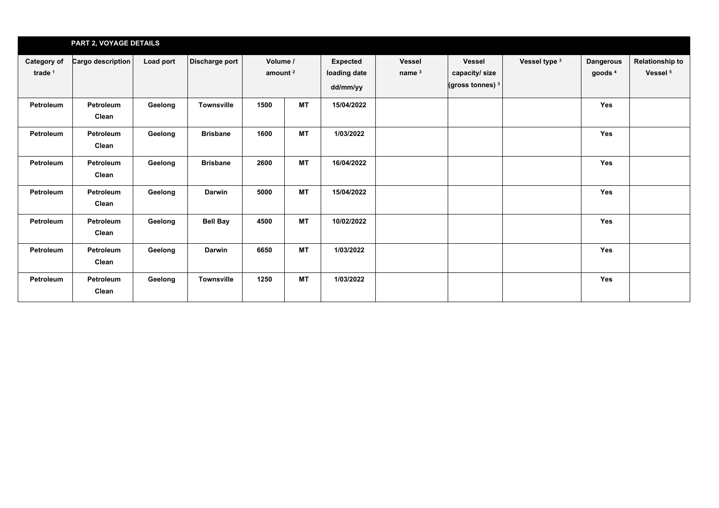|                                 | <b>PART 2, VOYAGE DETAILS</b> |           |                   |                                 |           |                                             |                                    |                                                               |               |                                        |                                               |
|---------------------------------|-------------------------------|-----------|-------------------|---------------------------------|-----------|---------------------------------------------|------------------------------------|---------------------------------------------------------------|---------------|----------------------------------------|-----------------------------------------------|
| <b>Category of</b><br>trade $1$ | Cargo description             | Load port | Discharge port    | Volume /<br>amount <sup>2</sup> |           | <b>Expected</b><br>loading date<br>dd/mm/yy | <b>Vessel</b><br>name <sup>3</sup> | <b>Vessel</b><br>capacity/size<br>(gross tonnes) <sup>3</sup> | Vessel type 3 | <b>Dangerous</b><br>goods <sup>4</sup> | <b>Relationship to</b><br>Vessel <sup>5</sup> |
| Petroleum                       | Petroleum<br>Clean            | Geelong   | Townsville        | 1500                            | <b>MT</b> | 15/04/2022                                  |                                    |                                                               |               | <b>Yes</b>                             |                                               |
| Petroleum                       | Petroleum<br>Clean            | Geelong   | <b>Brisbane</b>   | 1600                            | <b>MT</b> | 1/03/2022                                   |                                    |                                                               |               | <b>Yes</b>                             |                                               |
| Petroleum                       | Petroleum<br>Clean            | Geelong   | <b>Brisbane</b>   | 2600                            | <b>MT</b> | 16/04/2022                                  |                                    |                                                               |               | Yes                                    |                                               |
| Petroleum                       | Petroleum<br>Clean            | Geelong   | <b>Darwin</b>     | 5000                            | <b>MT</b> | 15/04/2022                                  |                                    |                                                               |               | <b>Yes</b>                             |                                               |
| Petroleum                       | Petroleum<br>Clean            | Geelong   | <b>Bell Bay</b>   | 4500                            | <b>MT</b> | 10/02/2022                                  |                                    |                                                               |               | <b>Yes</b>                             |                                               |
| Petroleum                       | Petroleum<br>Clean            | Geelong   | <b>Darwin</b>     | 6650                            | <b>MT</b> | 1/03/2022                                   |                                    |                                                               |               | <b>Yes</b>                             |                                               |
| Petroleum                       | Petroleum<br>Clean            | Geelong   | <b>Townsville</b> | 1250                            | <b>MT</b> | 1/03/2022                                   |                                    |                                                               |               | <b>Yes</b>                             |                                               |